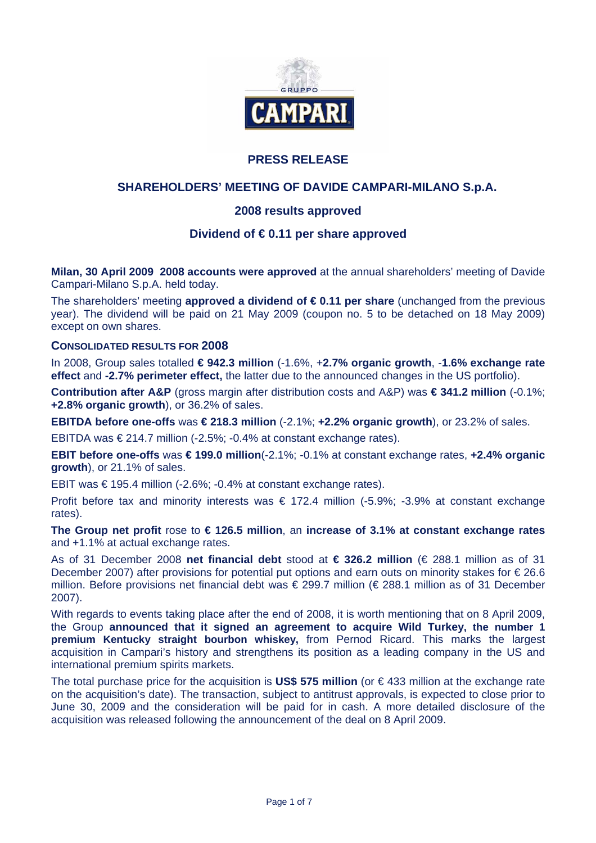

## **PRESS RELEASE**

## **SHAREHOLDERS' MEETING OF DAVIDE CAMPARI-MILANO S.p.A.**

## **2008 results approved**

### **Dividend of € 0.11 per share approved**

**Milan, 30 April 2009 2008 accounts were approved** at the annual shareholders' meeting of Davide Campari-Milano S.p.A. held today.

The shareholders' meeting **approved a dividend of € 0.11 per share** (unchanged from the previous year). The dividend will be paid on 21 May 2009 (coupon no. 5 to be detached on 18 May 2009) except on own shares.

#### **CONSOLIDATED RESULTS FOR 2008**

In 2008, Group sales totalled **€ 942.3 million** (-1.6%, +**2.7% organic growth**, -**1.6% exchange rate effect** and **-2.7% perimeter effect,** the latter due to the announced changes in the US portfolio).

**Contribution after A&P** (gross margin after distribution costs and A&P) was **€ 341.2 million** (-0.1%; **+2.8% organic growth**), or 36.2% of sales.

**EBITDA before one-offs** was **€ 218.3 million** (-2.1%; **+2.2% organic growth**), or 23.2% of sales.

EBITDA was €214.7 million (-2.5%; -0.4% at constant exchange rates).

**EBIT before one-offs** was **€ 199.0 million**(-2.1%; -0.1% at constant exchange rates, **+2.4% organic growth**), or 21.1% of sales.

EBIT was € 195.4 million (-2.6%; -0.4% at constant exchange rates).

Profit before tax and minority interests was  $\epsilon$  172.4 million (-5.9%; -3.9% at constant exchange rates).

**The Group net profit** rose to **€ 126.5 million**, an **increase of 3.1% at constant exchange rates** and +1.1% at actual exchange rates.

As of 31 December 2008 **net financial debt** stood at **€ 326.2 million** (€ 288.1 million as of 31 December 2007) after provisions for potential put options and earn outs on minority stakes for € 26.6 million. Before provisions net financial debt was € 299.7 million (€ 288.1 million as of 31 December 2007).

With regards to events taking place after the end of 2008, it is worth mentioning that on 8 April 2009, the Group **announced that it signed an agreement to acquire Wild Turkey, the number 1 premium Kentucky straight bourbon whiskey,** from Pernod Ricard. This marks the largest acquisition in Campari's history and strengthens its position as a leading company in the US and international premium spirits markets.

The total purchase price for the acquisition is **US\$ 575 million** (or € 433 million at the exchange rate on the acquisition's date). The transaction, subject to antitrust approvals, is expected to close prior to June 30, 2009 and the consideration will be paid for in cash. A more detailed disclosure of the acquisition was released following the announcement of the deal on 8 April 2009.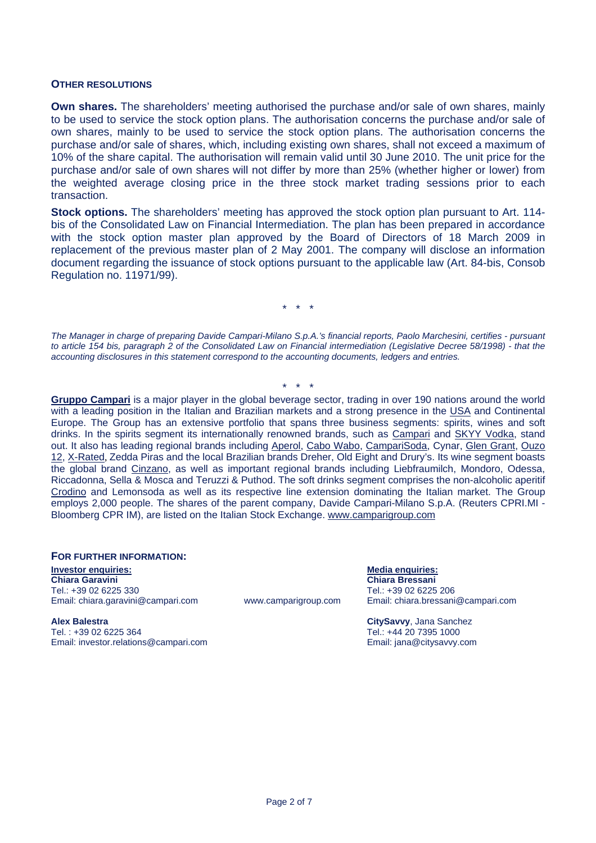#### **OTHER RESOLUTIONS**

**Own shares.** The shareholders' meeting authorised the purchase and/or sale of own shares, mainly to be used to service the stock option plans. The authorisation concerns the purchase and/or sale of own shares, mainly to be used to service the stock option plans. The authorisation concerns the purchase and/or sale of shares, which, including existing own shares, shall not exceed a maximum of 10% of the share capital. The authorisation will remain valid until 30 June 2010. The unit price for the purchase and/or sale of own shares will not differ by more than 25% (whether higher or lower) from the weighted average closing price in the three stock market trading sessions prior to each transaction.

**Stock options.** The shareholders' meeting has approved the stock option plan pursuant to Art. 114 bis of the Consolidated Law on Financial Intermediation. The plan has been prepared in accordance with the stock option master plan approved by the Board of Directors of 18 March 2009 in replacement of the previous master plan of 2 May 2001. The company will disclose an information document regarding the issuance of stock options pursuant to the applicable law (Art. 84-bis, Consob Regulation no. 11971/99).

\* \* \*

*The Manager in charge of preparing Davide Campari-Milano S.p.A.'s financial reports, Paolo Marchesini, certifies - pursuant to article 154 bis, paragraph 2 of the Consolidated Law on Financial intermediation (Legislative Decree 58/1998) - that the accounting disclosures in this statement correspond to the accounting documents, ledgers and entries.* 

\* \* \* **Gruppo Campari** is a major player in the global beverage sector, trading in over 190 nations around the world with a leading position in the Italian and Brazilian markets and a strong presence in the USA and Continental Europe. The Group has an extensive portfolio that spans three business segments: spirits, wines and soft drinks. In the spirits segment its internationally renowned brands, such as Campari and SKYY Vodka, stand out. It also has leading regional brands including Aperol, Cabo Wabo, CampariSoda, Cynar, Glen Grant, Ouzo 12, X-Rated, Zedda Piras and the local Brazilian brands Dreher, Old Eight and Drury's. Its wine segment boasts the global brand Cinzano, as well as important regional brands including Liebfraumilch, Mondoro, Odessa, Riccadonna, Sella & Mosca and Teruzzi & Puthod. The soft drinks segment comprises the non-alcoholic aperitif Crodino and Lemonsoda as well as its respective line extension dominating the Italian market. The Group employs 2,000 people. The shares of the parent company, Davide Campari-Milano S.p.A. (Reuters CPRI.MI - Bloomberg CPR IM), are listed on the Italian Stock Exchange. www.camparigroup.com

#### **FOR FURTHER INFORMATION:**

**Investor enquiries:** Media enquiries: Media enquiries: Media enquiries: Media enquiries: Media enquiries: Media enquiries: Media enquiries: Media enquiries: Media enquiries: Media enquiries: Media enquiries: Media enquiri **Chiara Garavini Chiara Bressani**  Tel.: +39 02 6225 330 Tel.: +39 02 6225 206 Email: chiara.garavini@campari.com www.camparigroup.com Email: chiara.bressani@campari.com

**Alex Balestra CitySavvy**, Jana Sanchez Tel. : +39 02 6225 364 Tel.: +44 20 7395 1000 Email: investor.relations@campari.com Email: jana@citysavvy.com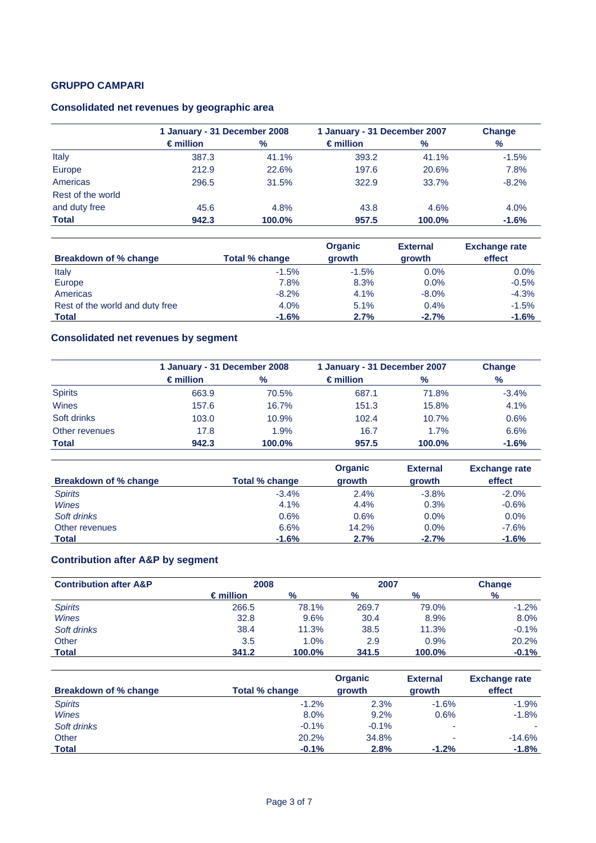## **Consolidated net revenues by geographic area**

|                   | 1 January - 31 December 2008 |        |                    | 1 January - 31 December 2007 |         |  |
|-------------------|------------------------------|--------|--------------------|------------------------------|---------|--|
|                   | $\epsilon$ million           | %      | $\epsilon$ million | $\%$                         | %       |  |
| Italy             | 387.3                        | 41.1%  | 393.2              | 41.1%                        | $-1.5%$ |  |
| Europe            | 212.9                        | 22.6%  | 197.6              | 20.6%                        | 7.8%    |  |
| Americas          | 296.5                        | 31.5%  | 322.9              | 33.7%                        | $-8.2%$ |  |
| Rest of the world |                              |        |                    |                              |         |  |
| and duty free     | 45.6                         | 4.8%   | 43.8               | 4.6%                         | 4.0%    |  |
| <b>Total</b>      | 942.3                        | 100.0% | 957.5              | 100.0%                       | $-1.6%$ |  |

|                                 |                | <b>Organic</b> | <b>External</b> | <b>Exchange rate</b> |
|---------------------------------|----------------|----------------|-----------------|----------------------|
| Breakdown of % change           | Total % change | growth         | growth          | effect               |
| Italy                           | $-1.5%$        | $-1.5%$        | $0.0\%$         | $0.0\%$              |
| Europe                          | 7.8%           | 8.3%           | $0.0\%$         | $-0.5%$              |
| Americas                        | $-8.2%$        | 4.1%           | $-8.0\%$        | $-4.3%$              |
| Rest of the world and duty free | 4.0%           | 5.1%           | $0.4\%$         | $-1.5%$              |
| <b>Total</b>                    | $-1.6%$        | 2.7%           | $-2.7%$         | $-1.6%$              |

# **Consolidated net revenues by segment**

|                |                    | 1 January - 31 December 2008 |                    | 1 January - 31 December 2007 |               |  |
|----------------|--------------------|------------------------------|--------------------|------------------------------|---------------|--|
|                | $\epsilon$ million | %                            | $\epsilon$ million | %                            | $\frac{9}{6}$ |  |
| <b>Spirits</b> | 663.9              | 70.5%                        | 687.1              | 71.8%                        | $-3.4%$       |  |
| <b>Wines</b>   | 157.6              | 16.7%                        | 151.3              | 15.8%                        | 4.1%          |  |
| Soft drinks    | 103.0              | 10.9%                        | 102.4              | 10.7%                        | 0.6%          |  |
| Other revenues | 17.8               | 1.9%                         | 16.7               | 1.7%                         | 6.6%          |  |
| <b>Total</b>   | 942.3              | 100.0%                       | 957.5              | 100.0%                       | $-1.6%$       |  |

|                       |                | <b>Organic</b> | <b>External</b> | <b>Exchange rate</b> |
|-----------------------|----------------|----------------|-----------------|----------------------|
| Breakdown of % change | Total % change | <b>arowth</b>  | growth          | effect               |
| <b>Spirits</b>        | $-3.4%$        | 2.4%           | $-3.8%$         | $-2.0%$              |
| Wines                 | 4.1%           | 4.4%           | 0.3%            | $-0.6%$              |
| Soft drinks           | 0.6%           | 0.6%           | 0.0%            | 0.0%                 |
| Other revenues        | 6.6%           | 14.2%          | $0.0\%$         | $-7.6%$              |
| <b>Total</b>          | $-1.6%$        | 2.7%           | $-2.7%$         | $-1.6%$              |

# **Contribution after A&P by segment**

| <b>Contribution after A&amp;P</b> | 2008               |               | 2007          |               | <b>Change</b> |
|-----------------------------------|--------------------|---------------|---------------|---------------|---------------|
|                                   | $\epsilon$ million | $\frac{0}{2}$ | $\frac{9}{6}$ | $\frac{9}{6}$ | $\frac{9}{6}$ |
| <b>Spirits</b>                    | 266.5              | 78.1%         | 269.7         | 79.0%         | $-1.2%$       |
| <b>Wines</b>                      | 32.8               | 9.6%          | 30.4          | 8.9%          | 8.0%          |
| Soft drinks                       | 38.4               | 11.3%         | 38.5          | 11.3%         | $-0.1%$       |
| Other                             | 3.5                | 1.0%          | 2.9           | 0.9%          | 20.2%         |
| <b>Total</b>                      | 341.2              | 100.0%        | 341.5         | 100.0%        | $-0.1%$       |

| Breakdown of % change | Total % change | <b>Organic</b><br>growth | <b>External</b><br>growth | <b>Exchange rate</b><br>effect |
|-----------------------|----------------|--------------------------|---------------------------|--------------------------------|
| <b>Spirits</b>        | $-1.2%$        | 2.3%                     | $-1.6%$                   | $-1.9%$                        |
| <b>Wines</b>          | 8.0%           | 9.2%                     | 0.6%                      | $-1.8%$                        |
| Soft drinks           | $-0.1%$        | $-0.1%$                  | ۰                         |                                |
| Other                 | 20.2%          | 34.8%                    | ۰                         | $-14.6%$                       |
| <b>Total</b>          | $-0.1%$        | 2.8%                     | $-1.2%$                   | $-1.8%$                        |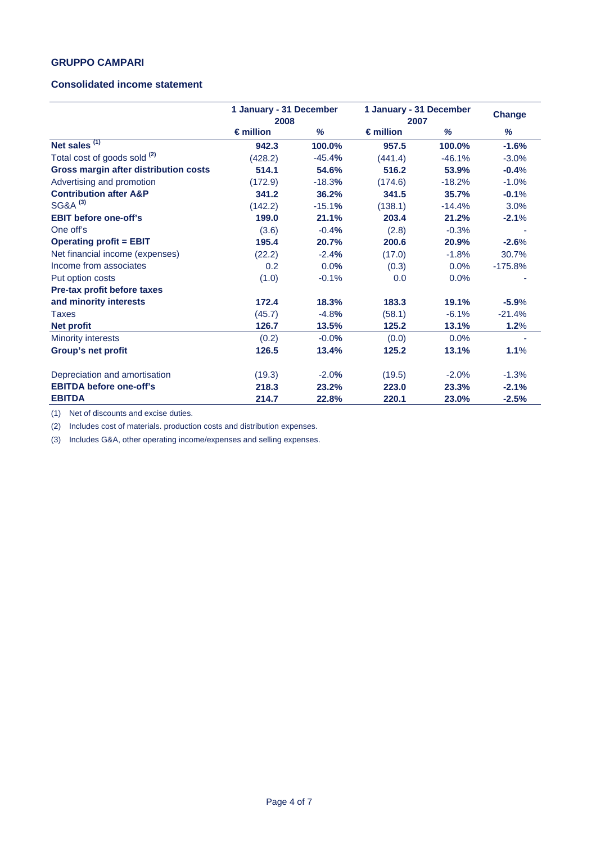#### **Consolidated income statement**

|                                         | 1 January - 31 December<br>2008 |          | 1 January - 31 December<br>2007 |          | <b>Change</b> |
|-----------------------------------------|---------------------------------|----------|---------------------------------|----------|---------------|
|                                         | $\epsilon$ million              | %        | $\epsilon$ million              | %        | %             |
| Net sales $(1)$                         | 942.3                           | 100.0%   | 957.5                           | 100.0%   | $-1.6%$       |
| Total cost of goods sold <sup>(2)</sup> | (428.2)                         | $-45.4%$ | (441.4)                         | $-46.1%$ | $-3.0%$       |
| Gross margin after distribution costs   | 514.1                           | 54.6%    | 516.2                           | 53.9%    | $-0.4%$       |
| Advertising and promotion               | (172.9)                         | $-18.3%$ | (174.6)                         | $-18.2%$ | $-1.0%$       |
| <b>Contribution after A&amp;P</b>       | 341.2                           | 36.2%    | 341.5                           | 35.7%    | $-0.1%$       |
| SG&A <sup>(3)</sup>                     | (142.2)                         | $-15.1%$ | (138.1)                         | $-14.4%$ | 3.0%          |
| <b>EBIT before one-off's</b>            | 199.0                           | 21.1%    | 203.4                           | 21.2%    | $-2.1%$       |
| One off's                               | (3.6)                           | $-0.4%$  | (2.8)                           | $-0.3%$  |               |
| <b>Operating profit = EBIT</b>          | 195.4                           | 20.7%    | 200.6                           | 20.9%    | $-2.6%$       |
| Net financial income (expenses)         | (22.2)                          | $-2.4%$  | (17.0)                          | $-1.8%$  | 30.7%         |
| Income from associates                  | 0.2                             | 0.0%     | (0.3)                           | $0.0\%$  | $-175.8%$     |
| Put option costs                        | (1.0)                           | $-0.1%$  | 0.0                             | 0.0%     |               |
| Pre-tax profit before taxes             |                                 |          |                                 |          |               |
| and minority interests                  | 172.4                           | 18.3%    | 183.3                           | 19.1%    | $-5.9%$       |
| <b>Taxes</b>                            | (45.7)                          | $-4.8%$  | (58.1)                          | $-6.1%$  | $-21.4%$      |
| <b>Net profit</b>                       | 126.7                           | 13.5%    | 125.2                           | 13.1%    | 1.2%          |
| <b>Minority interests</b>               | (0.2)                           | $-0.0%$  | (0.0)                           | $0.0\%$  |               |
| Group's net profit                      | 126.5                           | 13.4%    | 125.2                           | 13.1%    | 1.1%          |
| Depreciation and amortisation           | (19.3)                          | $-2.0%$  | (19.5)                          | $-2.0%$  | $-1.3%$       |
| <b>EBITDA before one-off's</b>          | 218.3                           | 23.2%    | 223.0                           | 23.3%    | $-2.1%$       |
| <b>EBITDA</b>                           | 214.7                           | 22.8%    | 220.1                           | 23.0%    | $-2.5%$       |

(1) Net of discounts and excise duties.

(2) Includes cost of materials. production costs and distribution expenses.

(3) Includes G&A, other operating income/expenses and selling expenses.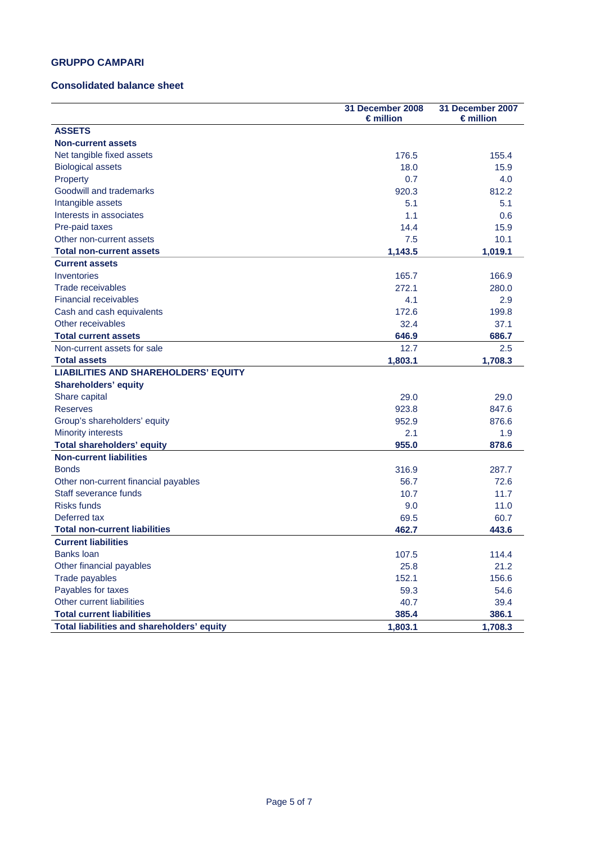#### **Consolidated balance sheet**

|                                             | 31 December 2008<br>€million | 31 December 2007<br>$\epsilon$ million |
|---------------------------------------------|------------------------------|----------------------------------------|
| <b>ASSETS</b>                               |                              |                                        |
| <b>Non-current assets</b>                   |                              |                                        |
| Net tangible fixed assets                   | 176.5                        | 155.4                                  |
| <b>Biological assets</b>                    | 18.0                         | 15.9                                   |
| Property                                    | 0.7                          | 4.0                                    |
| Goodwill and trademarks                     | 920.3                        | 812.2                                  |
| Intangible assets                           | 5.1                          | 5.1                                    |
| Interests in associates                     | 1.1                          | 0.6                                    |
| Pre-paid taxes                              | 14.4                         | 15.9                                   |
| Other non-current assets                    | 7.5                          | 10.1                                   |
| <b>Total non-current assets</b>             | 1,143.5                      | 1,019.1                                |
| <b>Current assets</b>                       |                              |                                        |
| Inventories                                 | 165.7                        | 166.9                                  |
| Trade receivables                           | 272.1                        | 280.0                                  |
| <b>Financial receivables</b>                | 4.1                          | 2.9                                    |
| Cash and cash equivalents                   | 172.6                        | 199.8                                  |
| Other receivables                           | 32.4                         | 37.1                                   |
| <b>Total current assets</b>                 | 646.9                        | 686.7                                  |
| Non-current assets for sale                 | 12.7                         | 2.5                                    |
| <b>Total assets</b>                         | 1,803.1                      | 1,708.3                                |
| <b>LIABILITIES AND SHAREHOLDERS' EQUITY</b> |                              |                                        |
| <b>Shareholders' equity</b>                 |                              |                                        |
| Share capital                               | 29.0                         | 29.0                                   |
| <b>Reserves</b>                             | 923.8                        | 847.6                                  |
| Group's shareholders' equity                | 952.9                        | 876.6                                  |
| <b>Minority interests</b>                   | 2.1                          | 1.9                                    |
| <b>Total shareholders' equity</b>           | 955.0                        | 878.6                                  |
| <b>Non-current liabilities</b>              |                              |                                        |
| <b>Bonds</b>                                | 316.9                        | 287.7                                  |
| Other non-current financial payables        | 56.7                         | 72.6                                   |
| Staff severance funds                       | 10.7                         | 11.7                                   |
| <b>Risks funds</b>                          | 9.0                          | 11.0                                   |
| Deferred tax                                | 69.5                         | 60.7                                   |
| <b>Total non-current liabilities</b>        | 462.7                        | 443.6                                  |
| <b>Current liabilities</b>                  |                              |                                        |
| <b>Banks loan</b>                           | 107.5                        | 114.4                                  |
| Other financial payables                    | 25.8                         | 21.2                                   |
| Trade payables                              | 152.1                        | 156.6                                  |
| Payables for taxes                          | 59.3                         | 54.6                                   |
| Other current liabilities                   | 40.7                         | 39.4                                   |
| <b>Total current liabilities</b>            | 385.4                        | 386.1                                  |
| Total liabilities and shareholders' equity  | 1,803.1                      | 1,708.3                                |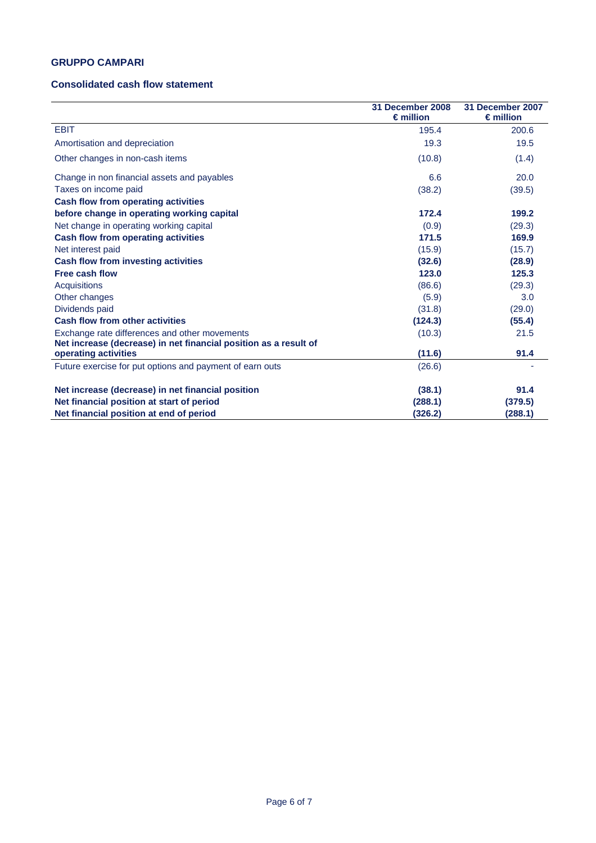### **Consolidated cash flow statement**

|                                                                  | 31 December 2008<br>$\epsilon$ million | 31 December 2007<br>$\epsilon$ million |
|------------------------------------------------------------------|----------------------------------------|----------------------------------------|
| <b>EBIT</b>                                                      | 195.4                                  | 200.6                                  |
| Amortisation and depreciation                                    | 19.3                                   | 19.5                                   |
| Other changes in non-cash items                                  | (10.8)                                 | (1.4)                                  |
| Change in non financial assets and payables                      | 6.6                                    | 20.0                                   |
| Taxes on income paid                                             | (38.2)                                 | (39.5)                                 |
| <b>Cash flow from operating activities</b>                       |                                        |                                        |
| before change in operating working capital                       | 172.4                                  | 199.2                                  |
| Net change in operating working capital                          | (0.9)                                  | (29.3)                                 |
| <b>Cash flow from operating activities</b>                       | 171.5                                  | 169.9                                  |
| Net interest paid                                                | (15.9)                                 | (15.7)                                 |
| <b>Cash flow from investing activities</b>                       | (32.6)                                 | (28.9)                                 |
| Free cash flow                                                   | 123.0                                  | 125.3                                  |
| <b>Acquisitions</b>                                              | (86.6)                                 | (29.3)                                 |
| Other changes                                                    | (5.9)                                  | 3.0                                    |
| Dividends paid                                                   | (31.8)                                 | (29.0)                                 |
| <b>Cash flow from other activities</b>                           | (124.3)                                | (55.4)                                 |
| Exchange rate differences and other movements                    | (10.3)                                 | 21.5                                   |
| Net increase (decrease) in net financial position as a result of |                                        |                                        |
| operating activities                                             | (11.6)                                 | 91.4                                   |
| Future exercise for put options and payment of earn outs         | (26.6)                                 |                                        |
| Net increase (decrease) in net financial position                | (38.1)                                 | 91.4                                   |
| Net financial position at start of period                        | (288.1)                                | (379.5)                                |
| Net financial position at end of period                          | (326.2)                                | (288.1)                                |